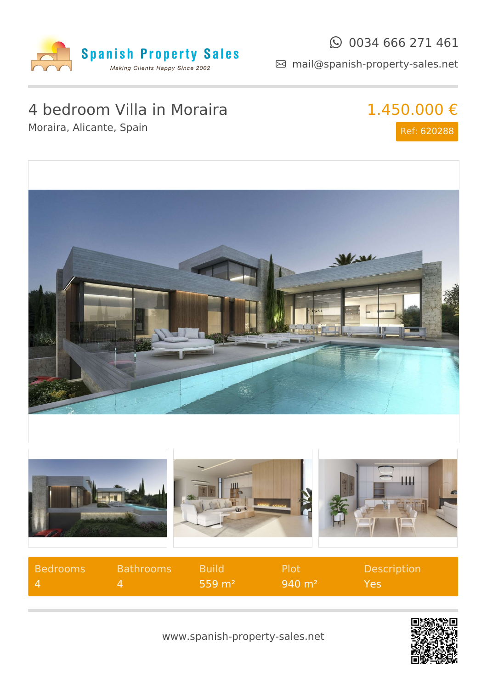

#### $\odot$  0034 666 271 461

mail@spanish-property-sales.net

## 4 bedroom Villa in Moraira

Moraira, Alicante, Spain

# 1.450.000 €

Ref: 620288



| Bedrooms       | <b>Bathrooms</b> | <b>Build</b>      | -Plot                 | <b>Description</b> |
|----------------|------------------|-------------------|-----------------------|--------------------|
| $\blacksquare$ |                  | $559 \text{ m}^2$ | $940 \; \mathrm{m}^2$ | <b>Yes</b>         |



www.spanish-property-sales.net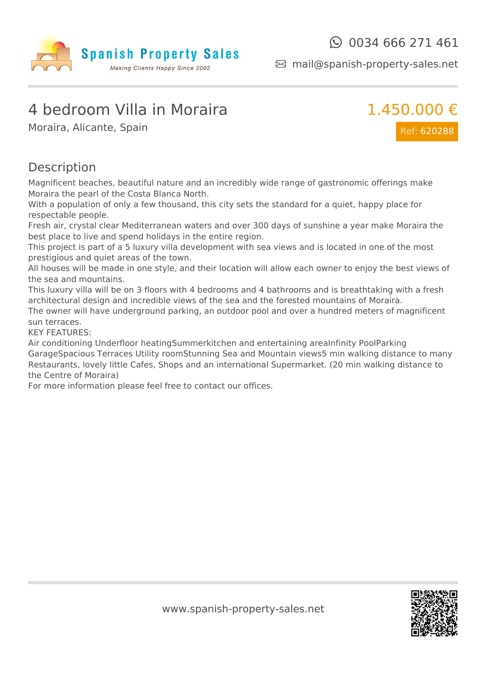

mail@spanish-property-sales.net

### 4 bedroom Villa in Moraira

Moraira, Alicante, Spain



Ref: 620288

#### Description

Magnificent beaches, beautiful nature and an incredibly wide range of gastronomic offerings make Moraira the pearl of the Costa Blanca North.

With a population of only a few thousand, this city sets the standard for a quiet, happy place for respectable people.

Fresh air, crystal clear Mediterranean waters and over 300 days of sunshine a year make Moraira the best place to live and spend holidays in the entire region.

This project is part of a 5 luxury villa development with sea views and is located in one of the most prestigious and quiet areas of the town.

All houses will be made in one style, and their location will allow each owner to enjoy the best views of the sea and mountains.

This luxury villa will be on 3 floors with 4 bedrooms and 4 bathrooms and is breathtaking with a fresh architectural design and incredible views of the sea and the forested mountains of Moraira.

The owner will have underground parking, an outdoor pool and over a hundred meters of magnificent sun terraces.

KEY FEATURES:

Air conditioning Underfloor heatingSummerkitchen and entertaining areaInfinity PoolParking GarageSpacious Terraces Utility roomStunning Sea and Mountain views5 min walking distance to many Restaurants, lovely little Cafes, Shops and an international Supermarket. (20 min walking distance to the Centre of Moraira)

For more information please feel free to contact our offices.